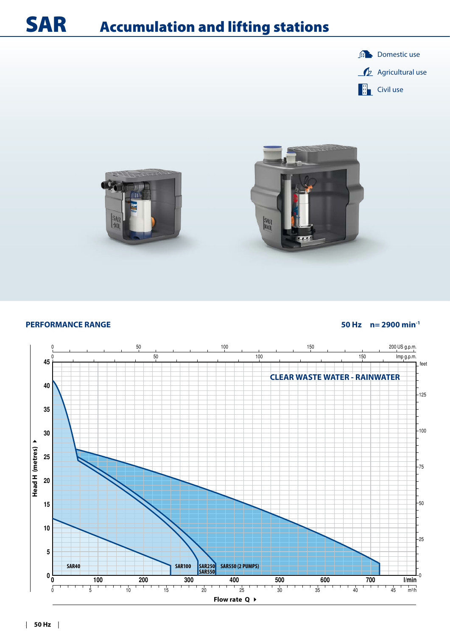### SAR Accumulation and lifting stations





#### **PERFORMANCE RANGE 50 Hz n= 2900 min-1**

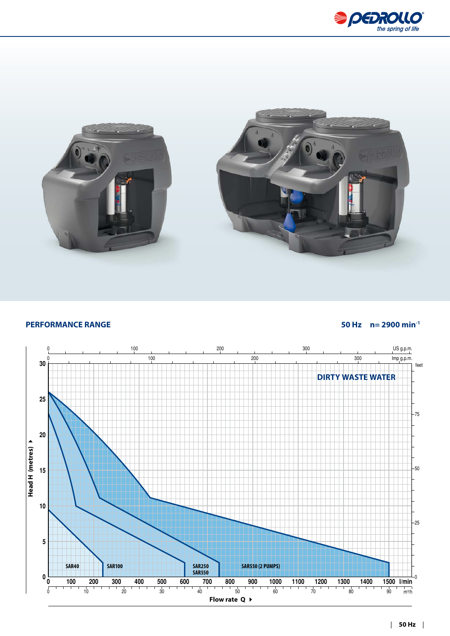



### **PERFORMANCE RANGE 50 Hz n= 2900 min-1**

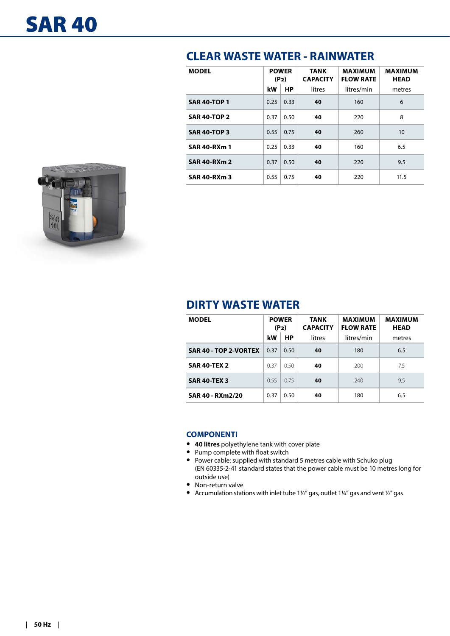

| <b>MODEL</b>        | <b>POWER</b><br>(P <sub>2</sub> ) |      | <b>TANK</b><br><b>CAPACITY</b> | <b>MAXIMUM</b><br><b>FLOW RATE</b> | <b>MAXIMUM</b><br><b>HEAD</b> |  |  |  |
|---------------------|-----------------------------------|------|--------------------------------|------------------------------------|-------------------------------|--|--|--|
|                     | kW                                | HP   | litres                         | litres/min                         | metres                        |  |  |  |
| <b>SAR 40-TOP 1</b> | 0.25                              | 0.33 | 40                             | 160                                | 6                             |  |  |  |
| <b>SAR 40-TOP 2</b> | 0.37                              | 0.50 | 40                             | 220                                | 8                             |  |  |  |
| <b>SAR 40-TOP 3</b> | 0.55                              | 0.75 | 40                             | 260                                | 10                            |  |  |  |
| <b>SAR 40-RXm 1</b> | 0.25                              | 0.33 | 40                             | 160                                | 6.5                           |  |  |  |
| <b>SAR 40-RXm 2</b> | 0.37                              | 0.50 | 40                             | 220                                | 9.5                           |  |  |  |
| <b>SAR 40-RXm 3</b> | 0.55                              | 0.75 | 40                             | 220                                | 11.5                          |  |  |  |

## **DIRTY WASTE WATER**

| <b>MODEL</b>          | <b>POWER</b><br>(P <sub>2</sub> ) |                     | <b>TANK</b><br><b>CAPACITY</b> | <b>MAXIMUM</b><br><b>FLOW RATE</b> | <b>MAXIMUM</b><br><b>HEAD</b> |
|-----------------------|-----------------------------------|---------------------|--------------------------------|------------------------------------|-------------------------------|
|                       | kW                                | <b>HP</b><br>litres |                                | litres/min                         | metres                        |
| SAR 40 - TOP 2-VORTEX | 0.37                              | 0.50                | 40                             | 180                                | 6.5                           |
| <b>SAR 40-TEX 2</b>   | 0.37                              | 0.50                | 40                             | 200                                | 7.5                           |
| <b>SAR 40-TEX 3</b>   | 0.55                              | 0.75                | 40                             | 240                                | 9.5                           |
| SAR 40 - RXm2/20      | 0.37                              | 0.50                | 40                             | 180                                | 6.5                           |

### **COMPONENTI**

- **• 40 litres** polyethylene tank with cover plate
- **•** Pump complete with float switch
- **•** Power cable: supplied with standard 5 metres cable with Schuko plug (EN 60335-2-41 standard states that the power cable must be 10 metres long for outside use)
- **•** Non-return valve
- **•** Accumulation stations with inlet tube 1½" gas, outlet 1¼" gas and vent ½" gas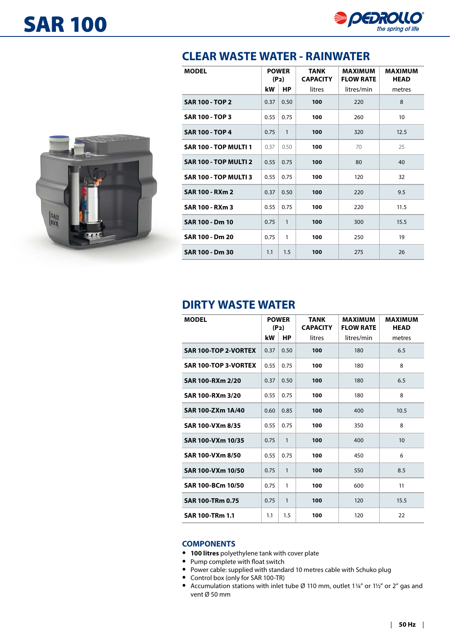



| <b>MODEL</b>                 | <b>POWER</b><br>(P <sub>2</sub> ) |              | <b>TANK</b><br><b>CAPACITY</b> | <b>MAXIMUM</b><br><b>FLOW RATE</b> | <b>MAXIMUM</b><br><b>HEAD</b> |
|------------------------------|-----------------------------------|--------------|--------------------------------|------------------------------------|-------------------------------|
|                              | kW                                | <b>HP</b>    | litres                         | litres/min                         | metres                        |
| <b>SAR 100 - TOP 2</b>       | 0.37                              | 0.50         | 100                            | 220                                | 8                             |
| <b>SAR 100 - TOP 3</b>       | 0.55                              | 0.75         | 100                            | 260                                | 10                            |
| <b>SAR 100 - TOP 4</b>       | 0.75                              | $\mathbf{1}$ | 100                            | 320                                | 12.5                          |
| SAR 100 - TOP MULTI 1        | 0.37                              | 0.50         | 100                            | 70                                 | 25                            |
| SAR 100 - TOP MULTI 2        | 0.55                              | 0.75         | 100                            | 80                                 | 40                            |
| <b>SAR 100 - TOP MULTI 3</b> | 0.55                              | 0.75         | 100                            | 120                                | 32                            |
| <b>SAR 100 - RXm 2</b>       | 0.37                              | 0.50         | 100                            | 220                                | 9.5                           |
| <b>SAR 100 - RXm 3</b>       | 0.55                              | 0.75         | 100                            | 220                                | 11.5                          |
| <b>SAR 100 - Dm 10</b>       | 0.75                              | $\mathbf{1}$ | 100                            | 300                                | 15.5                          |
| SAR 100 - Dm 20              | 0.75                              | $\mathbf{1}$ | 100                            | 250                                | 19                            |
| SAR 100 - Dm 30              | 1.1                               | 1.5          | 100                            | 275                                | 26                            |

## **DIRTY WASTE WATER**

| <b>MODEL</b>                | <b>POWER</b><br>(P <sub>2</sub> ) |              | <b>TANK</b><br><b>CAPACITY</b> | <b>MAXIMUM</b><br><b>FLOW RATE</b> | <b>MAXIMUM</b><br><b>HEAD</b> |
|-----------------------------|-----------------------------------|--------------|--------------------------------|------------------------------------|-------------------------------|
|                             | kW                                | НP           | litres                         | litres/min                         | metres                        |
| <b>SAR 100-TOP 2-VORTEX</b> | 0.37                              | 0.50         | 100                            | 180                                | 6.5                           |
| <b>SAR 100-TOP 3-VORTEX</b> | 0.55                              | 0.75         | 100                            | 180                                | 8                             |
| SAR 100-RXm 2/20            | 0.37                              | 0.50         | 100                            | 180                                | 6.5                           |
| SAR 100-RXm 3/20            | 0.55                              | 0.75         | 100                            | 180                                | 8                             |
| SAR 100-ZXm 1A/40           | 0.60                              | 0.85         | 100                            | 400                                | 10.5                          |
| SAR 100-VXm 8/35            | 0.55                              | 0.75         | 100                            | 350                                | 8                             |
| SAR 100-VXm 10/35           | 0.75                              | $\mathbf{1}$ | 100                            | 400                                | 10                            |
| SAR 100-VXm 8/50            | 0.55                              | 0.75         | 100                            | 450                                | 6                             |
| SAR 100-VXm 10/50           | 0.75                              | $\mathbf{1}$ | 100                            | 550                                | 8.5                           |
| SAR 100-BCm 10/50           | 0.75                              | 1            | 100                            | 600                                | 11                            |
| <b>SAR 100-TRm 0.75</b>     | 0.75                              | $\mathbf{1}$ | 100                            | 120                                | 15.5                          |
| <b>SAR 100-TRm 1.1</b>      | 1.1                               | 1.5          | 100                            | 120                                | 22                            |

### **COMPONENTS**

- **• 100 litres** polyethylene tank with cover plate
- **•** Pump complete with float switch
- **•** Power cable: supplied with standard 10 metres cable with Schuko plug
- **•** Control box (only for SAR 100-TR)
- **•** Accumulation stations with inlet tube Ø 110 mm, outlet 1¼" or 1½" or 2" gas and vent Ø 50 mm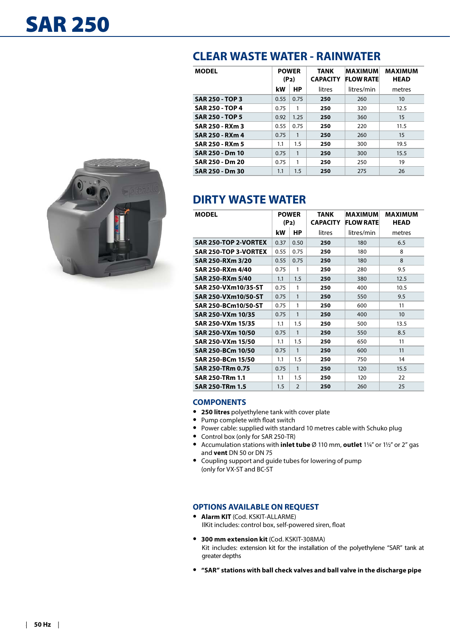

| <b>MODEL</b>           | <b>POWER</b><br>(P <sub>2</sub> ) |           | <b>TANK</b><br><b>CAPACITY</b> | <b>MAXIMUM</b><br><b>FLOW RATE</b> | <b>MAXIMUM</b><br><b>HEAD</b> |
|------------------------|-----------------------------------|-----------|--------------------------------|------------------------------------|-------------------------------|
|                        | kW                                | <b>HP</b> | litres                         | litres/min                         | metres                        |
| <b>SAR 250 - TOP 3</b> | 0.55                              | 0.75      | 250                            | 260                                | 10                            |
| <b>SAR 250 - TOP 4</b> | 0.75                              | 1         | 250                            | 320                                | 12.5                          |
| <b>SAR 250 - TOP 5</b> | 0.92                              | 1.25      | 250                            | 360                                | 15                            |
| SAR 250 - RXm 3        | 0.55                              | 0.75      | 250                            | 220                                | 11.5                          |
| SAR 250 - RXm 4        | 0.75                              | 1         | 250                            | 260                                | 15                            |
| SAR 250 - RXm 5        | 1.1                               | 1.5       | 250                            | 300                                | 19.5                          |
| SAR 250 - Dm 10        | 0.75                              | 1         | 250                            | 300                                | 15.5                          |
| SAR 250 - Dm 20        | 0.75                              | 1         | 250                            | 250                                | 19                            |
| SAR 250 - Dm 30        | 1.1                               | 1.5       | 250                            | 275                                | 26                            |

# **DIRTY WASTE WATER**

| <b>MODEL</b>                | <b>POWER</b><br>(P <sub>2</sub> ) |                | <b>TANK</b><br><b>CAPACITY</b> | <b>MAXIMUM</b><br><b>FLOW RATE</b> | <b>MAXIMUM</b><br><b>HEAD</b> |
|-----------------------------|-----------------------------------|----------------|--------------------------------|------------------------------------|-------------------------------|
|                             | kW                                | НP             | litres                         | litres/min                         | metres                        |
| <b>SAR 250-TOP 2-VORTEX</b> | 0.37                              | 0.50           | 250                            | 180                                | 6.5                           |
| <b>SAR 250-TOP 3-VORTEX</b> | 0.55                              | 0.75           | 250                            | 180                                | 8                             |
| SAR 250-RXm 3/20            | 0.55                              | 0.75           | 250                            | 180                                | 8                             |
| SAR 250-RXm 4/40            | 0.75                              | 1              | 250                            | 280                                | 9.5                           |
| SAR 250-RXm 5/40            | 1.1                               | 1.5            | 250                            | 380                                | 12.5                          |
| SAR 250-VXm10/35-ST         | 0.75                              | 1              | 250                            | 400                                | 10.5                          |
| SAR 250-VXm10/50-ST         | 0.75                              | 1              | 250                            | 550                                | 9.5                           |
| SAR 250-BCm10/50-ST         | 0.75                              | 1              | 250                            | 600                                | 11                            |
| SAR 250-VXm 10/35           | 0.75                              | 1              | 250                            | 400                                | 10                            |
| SAR 250-VXm 15/35           | 1.1                               | 1.5            | 250                            | 500                                | 13.5                          |
| SAR 250-VXm 10/50           | 0.75                              | 1              | 250                            | 550                                | 8.5                           |
| SAR 250-VXm 15/50           | 1.1                               | 1.5            | 250                            | 650                                | 11                            |
| SAR 250-BCm 10/50           | 0.75                              | $\mathbf{1}$   | 250                            | 600                                | 11                            |
| SAR 250-BCm 15/50           | 1.1                               | 1.5            | 250                            | 750                                | 14                            |
| <b>SAR 250-TRm 0.75</b>     | 0.75                              | 1              | 250                            | 120                                | 15.5                          |
| SAR 250-TRm 1.1             | 1.1                               | 1.5            | 250                            | 120                                | 22                            |
| SAR 250-TRm 1.5             | 1.5                               | $\overline{2}$ | 250                            | 260                                | 25                            |

### **COMPONENTS**

- **• 250 litres** polyethylene tank with cover plate
- **•** Pump complete with float switch
- **•** Power cable: supplied with standard 10 metres cable with Schuko plug
- **•** Control box (only for SAR 250-TR)
- **•** Accumulation stations with **inlet tube** Ø 110 mm, **outlet** 1¼" or 1½" or 2" gas and **vent** DN 50 or DN 75
- **•** Coupling support and guide tubes for lowering of pump (only for VX-ST and BC-ST

#### **OPTIONS AVAILABLE ON REQUEST**

- **• Alarm KIT** (Cod. KSKIT-ALLARME) IlKit includes: control box, self-powered siren, float
- **• 300 mm extension kit** (Cod. KSKIT-308MA) Kit includes: extension kit for the installation of the polyethylene "SAR" tank at greater depths
- **• "SAR" stations with ball check valves and ball valve in the discharge pipe**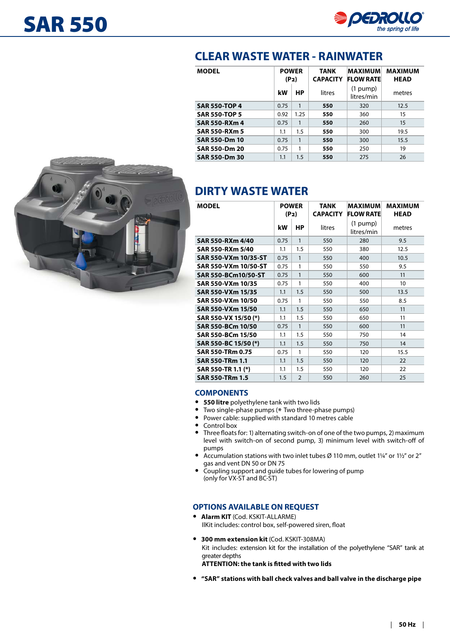

| <b>MODEL</b>         | <b>POWER</b><br>(P <sub>2</sub> ) |      | <b>TANK</b><br><b>CAPACITY</b> | <b>MAXIMUM</b><br><b>FLOW RATE</b> | <b>MAXIMUM</b><br><b>HEAD</b> |
|----------------------|-----------------------------------|------|--------------------------------|------------------------------------|-------------------------------|
|                      | kW                                | HP   | litres                         | $(1$ pump)<br>litres/min           | metres                        |
| <b>SAR 550-TOP 4</b> | 0.75                              | 1    | 550                            | 320                                | 12.5                          |
| <b>SAR 550-TOP 5</b> | 0.92                              | 1.25 | 550                            | 360                                | 15                            |
| SAR 550-RXm 4        | 0.75                              | 1    | 550                            | 260                                | 15                            |
| <b>SAR 550-RXm 5</b> | 1.1                               | 1.5  | 550                            | 300                                | 19.5                          |
| <b>SAR 550-Dm 10</b> | 0.75                              | 1    | 550                            | 300                                | 15.5                          |
| <b>SAR 550-Dm 20</b> | 0.75                              | 1    | 550                            | 250                                | 19                            |
| <b>SAR 550-Dm 30</b> | 1.1                               | 1.5  | 550                            | 275                                | 26                            |



# **DIRTY WASTE WATER**

| <b>MODEL</b>               | <b>POWER</b><br>(P <sub>2</sub> ) |                | <b>TANK</b><br><b>CAPACITY</b> | <b>MAXIMUM</b><br><b>FLOW RATE</b> | <b>MAXIMUM</b><br><b>HEAD</b> |
|----------------------------|-----------------------------------|----------------|--------------------------------|------------------------------------|-------------------------------|
|                            | kW                                | <b>HP</b>      | litres                         | $(1$ pump)<br>litres/min           | metres                        |
| SAR 550-RXm 4/40           | 0.75                              | $\mathbf{1}$   | 550                            | 280                                | 9.5                           |
| SAR 550-RXm 5/40           | 1.1                               | 1.5            | 550                            | 380                                | 12.5                          |
| SAR 550-VXm 10/35-ST       | 0.75                              | $\mathbf{1}$   | 550                            | 400                                | 10.5                          |
| SAR 550-VXm 10/50-ST       | 0.75                              | $\mathbf{1}$   | 550                            | 550                                | 9.5                           |
| <b>SAR 550-BCm10/50-ST</b> | 0.75                              | $\mathbf{1}$   | 550                            | 600                                | 11                            |
| SAR 550-VXm 10/35          | 0.75                              | 1              | 550                            | 400                                | 10                            |
| SAR 550-VXm 15/35          | 1.1                               | 1.5            | 550<br>500                     |                                    | 13.5                          |
| SAR 550-VXm 10/50          | 0.75                              | 1              | 550                            | 550                                | 8.5                           |
| SAR 550-VXm 15/50          | 1.1                               | 1.5            | 550                            | 650                                | 11                            |
| SAR 550-VX 15/50 (*)       | 1.1                               | 1.5            | 550                            | 650                                | 11                            |
| SAR 550-BCm 10/50          | 0.75                              | $\mathbf{1}$   | 550                            | 600                                | 11                            |
| SAR 550-BCm 15/50          | 1.1                               | 1.5            | 550                            | 750                                | 14                            |
| SAR 550-BC 15/50 (*)       | 1.1                               | 1.5            | 550                            | 750                                | 14                            |
| SAR 550-TRm 0.75           | 0.75                              | $\mathbf{1}$   | 550                            | 120                                | 15.5                          |
| <b>SAR 550-TRm 1.1</b>     | 1.1                               | 1.5            | 550                            | 120                                | 22                            |
| SAR 550-TR 1.1 (*)         | 1.1                               | 1.5            | 550                            | 120                                | 22                            |
| <b>SAR 550-TRm 1.5</b>     | 1.5                               | $\overline{2}$ | 550                            | 260                                | 25                            |

### **COMPONENTS**

- **• 550 litre** polyethylene tank with two lids
- **•** Two single-phase pumps ( \* Two three-phase pumps)
- **•** Power cable: supplied with standard 10 metres cable
- **•** Control box
- **•** Three floats for: 1) alternating switch-on of one of the two pumps, 2) maximum level with switch-on of second pump, 3) minimum level with switch-off of pumps
- **•** Accumulation stations with two inlet tubes Ø 110 mm, outlet 1¼" or 1½" or 2" gas and vent DN 50 or DN 75
- **•** Coupling support and guide tubes for lowering of pump (only for VX-ST and BC-ST)

### **OPTIONS AVAILABLE ON REQUEST**

- **• Alarm KIT** (Cod. KSKIT-ALLARME) IlKit includes: control box, self-powered siren, float
- **• 300 mm extension kit** (Cod. KSKIT-308MA) Kit includes: extension kit for the installation of the polyethylene "SAR" tank at greater depths **ATTENTION: the tank is fitted with two lids**
- **• "SAR" stations with ball check valves and ball valve in the discharge pipe**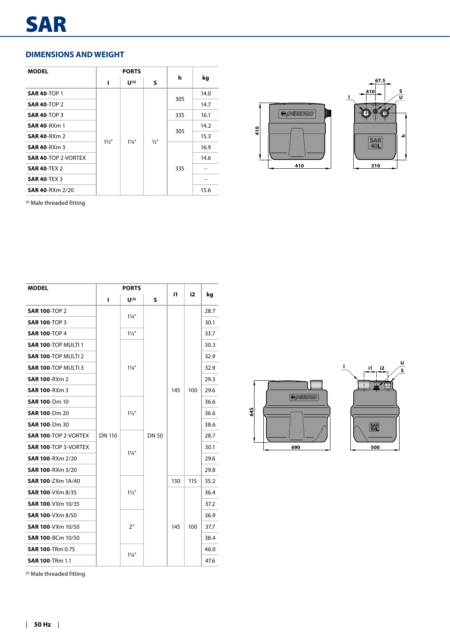### **DIMENSIONS AND WEIGHT**

| <b>MODEL</b>               |                | <b>PORTS</b>   |               |     |      |
|----------------------------|----------------|----------------|---------------|-----|------|
|                            | ı              | $U^{(1)}$      | S             | h   | kg   |
| <b>SAR 40-TOP 1</b>        |                |                |               |     | 14.0 |
| <b>SAR 40-TOP 2</b>        |                |                |               | 305 | 14.7 |
| <b>SAR 40-TOP 3</b>        |                |                |               | 335 | 16.1 |
| <b>SAR 40-RXm 1</b>        |                |                |               |     | 14.2 |
| <b>SAR 40-RXm 2</b>        |                |                |               | 305 | 15.3 |
| <b>SAR 40-RXm 3</b>        | $1\frac{1}{2}$ | $1\frac{1}{4}$ | $\frac{1}{2}$ |     | 16.9 |
| <b>SAR 40-TOP 2-VORTEX</b> |                |                |               | 335 | 14.6 |
| <b>SAR 40-TEX 2</b>        |                |                |               |     |      |
| <b>SAR 40-TEX 3</b>        |                |                |               |     |      |
| <b>SAR 40-RXm 2/20</b>     |                |                |               |     | 15.6 |



(1) Male threaded fitting

| <b>MODEL</b>                |               | <b>PORTS</b>                     |              |     |     |      |
|-----------------------------|---------------|----------------------------------|--------------|-----|-----|------|
|                             | г             | $\mathbf{U}^{(1)}$               | S            | i1  | i2  | kg   |
| <b>SAR 100-TOP 2</b>        |               |                                  |              |     |     | 28.7 |
| <b>SAR 100-TOP 3</b>        |               | $1\frac{1}{4}$                   |              |     |     | 30.1 |
| <b>SAR 100-TOP 4</b>        |               | $1\frac{1}{2}$                   |              |     |     | 33.7 |
| <b>SAR 100-TOP MULTI 1</b>  |               |                                  |              |     |     | 30.3 |
| <b>SAR 100-TOP MULTI 2</b>  |               |                                  |              |     |     | 32.9 |
| SAR 100-TOP MULTI 3         |               | $1\frac{1}{4}$                   |              |     | 100 | 32.9 |
| <b>SAR 100-RXm 2</b>        |               |                                  |              | 145 |     | 29.3 |
| <b>SAR 100-RXm 3</b>        |               |                                  | <b>DN 50</b> |     |     | 29.6 |
| <b>SAR 100-Dm 10</b>        |               | $1\frac{1}{2}$<br>$1\frac{1}{4}$ |              |     |     | 36.6 |
| <b>SAR 100-Dm 20</b>        |               |                                  |              |     |     | 36.6 |
| <b>SAR 100-Dm 30</b>        |               |                                  |              |     |     | 38.6 |
| <b>SAR 100-TOP 2-VORTEX</b> | <b>DN 110</b> |                                  |              |     |     | 28.7 |
| <b>SAR 100-TOP 3-VORTEX</b> |               |                                  |              |     |     | 30.1 |
| <b>SAR 100-RXm 2/20</b>     |               |                                  |              |     |     | 29.6 |
| <b>SAR 100-RXm 3/20</b>     |               |                                  |              |     |     | 29.8 |
| <b>SAR 100-ZXm 1A/40</b>    |               |                                  |              | 130 | 115 | 35.2 |
| <b>SAR 100-VXm 8/35</b>     |               | $1\frac{1}{2}$                   |              |     |     | 36.4 |
| <b>SAR 100-VXm 10/35</b>    |               |                                  |              |     |     | 37.2 |
| <b>SAR 100-VXm 8/50</b>     |               |                                  |              |     |     | 36.9 |
| SAR 100-VXm 10/50           |               | 2 <sup>n</sup>                   |              | 145 | 100 | 37.7 |
| <b>SAR 100-BCm 10/50</b>    |               |                                  |              |     |     | 38.4 |
| <b>SAR 100-TRm 0.75</b>     |               | $1\frac{1}{4}$                   |              |     |     | 46.0 |
| <b>SAR 100-TRm 1.1</b>      |               |                                  |              |     |     | 47.6 |





(1) Male threaded fitting